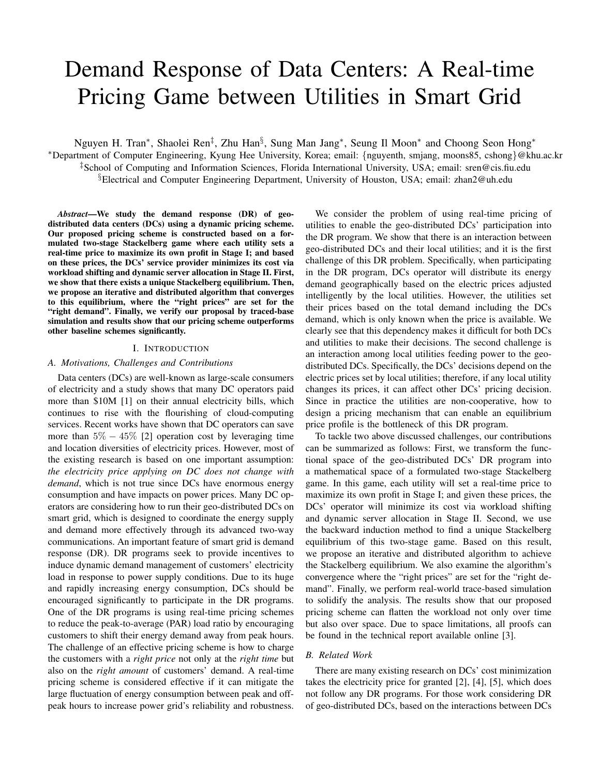# Demand Response of Data Centers: A Real-time Pricing Game between Utilities in Smart Grid

Nguyen H. Tran\*, Shaolei Ren<sup>‡</sup>, Zhu Han<sup>§</sup>, Sung Man Jang\*, Seung Il Moon\* and Choong Seon Hong\* <sup>∗</sup>Department of Computer Engineering, Kyung Hee University, Korea; email: {nguyenth, smjang, moons85, cshong}@khu.ac.kr ‡School of Computing and Information Sciences, Florida International University, USA; email: sren@cis.fiu.edu §Electrical and Computer Engineering Department, University of Houston, USA; email: zhan2@uh.edu

*Abstract*—We study the demand response (DR) of geodistributed data centers (DCs) using a dynamic pricing scheme. Our proposed pricing scheme is constructed based on a formulated two-stage Stackelberg game where each utility sets a real-time price to maximize its own profit in Stage I; and based on these prices, the DCs' service provider minimizes its cost via workload shifting and dynamic server allocation in Stage II. First, we show that there exists a unique Stackelberg equilibrium. Then, we propose an iterative and distributed algorithm that converges to this equilibrium, where the "right prices" are set for the "right demand". Finally, we verify our proposal by traced-base simulation and results show that our pricing scheme outperforms other baseline schemes significantly.

#### I. INTRODUCTION

### *A. Motivations, Challenges and Contributions*

Data centers (DCs) are well-known as large-scale consumers of electricity and a study shows that many DC operators paid more than \$10M [1] on their annual electricity bills, which continues to rise with the flourishing of cloud-computing services. Recent works have shown that DC operators can save more than  $5\% - 45\%$  [2] operation cost by leveraging time and location diversities of electricity prices. However, most of the existing research is based on one important assumption: *the electricity price applying on DC does not change with demand*, which is not true since DCs have enormous energy consumption and have impacts on power prices. Many DC operators are considering how to run their geo-distributed DCs on smart grid, which is designed to coordinate the energy supply and demand more effectively through its advanced two-way communications. An important feature of smart grid is demand response (DR). DR programs seek to provide incentives to induce dynamic demand management of customers' electricity load in response to power supply conditions. Due to its huge and rapidly increasing energy consumption, DCs should be encouraged significantly to participate in the DR programs. One of the DR programs is using real-time pricing schemes to reduce the peak-to-average (PAR) load ratio by encouraging customers to shift their energy demand away from peak hours. The challenge of an effective pricing scheme is how to charge the customers with a *right price* not only at the *right time* but also on the *right amount* of customers' demand. A real-time pricing scheme is considered effective if it can mitigate the large fluctuation of energy consumption between peak and offpeak hours to increase power grid's reliability and robustness.

We consider the problem of using real-time pricing of utilities to enable the geo-distributed DCs' participation into the DR program. We show that there is an interaction between geo-distributed DCs and their local utilities; and it is the first challenge of this DR problem. Specifically, when participating in the DR program, DCs operator will distribute its energy demand geographically based on the electric prices adjusted intelligently by the local utilities. However, the utilities set their prices based on the total demand including the DCs demand, which is only known when the price is available. We clearly see that this dependency makes it difficult for both DCs and utilities to make their decisions. The second challenge is an interaction among local utilities feeding power to the geodistributed DCs. Specifically, the DCs' decisions depend on the electric prices set by local utilities; therefore, if any local utility changes its prices, it can affect other DCs' pricing decision. Since in practice the utilities are non-cooperative, how to design a pricing mechanism that can enable an equilibrium price profile is the bottleneck of this DR program.

To tackle two above discussed challenges, our contributions can be summarized as follows: First, we transform the functional space of the geo-distributed DCs' DR program into a mathematical space of a formulated two-stage Stackelberg game. In this game, each utility will set a real-time price to maximize its own profit in Stage I; and given these prices, the DCs' operator will minimize its cost via workload shifting and dynamic server allocation in Stage II. Second, we use the backward induction method to find a unique Stackelberg equilibrium of this two-stage game. Based on this result, we propose an iterative and distributed algorithm to achieve the Stackelberg equilibrium. We also examine the algorithm's convergence where the "right prices" are set for the "right demand". Finally, we perform real-world trace-based simulation to solidify the analysis. The results show that our proposed pricing scheme can flatten the workload not only over time but also over space. Due to space limitations, all proofs can be found in the technical report available online [3].

# *B. Related Work*

There are many existing research on DCs' cost minimization takes the electricity price for granted [2], [4], [5], which does not follow any DR programs. For those work considering DR of geo-distributed DCs, based on the interactions between DCs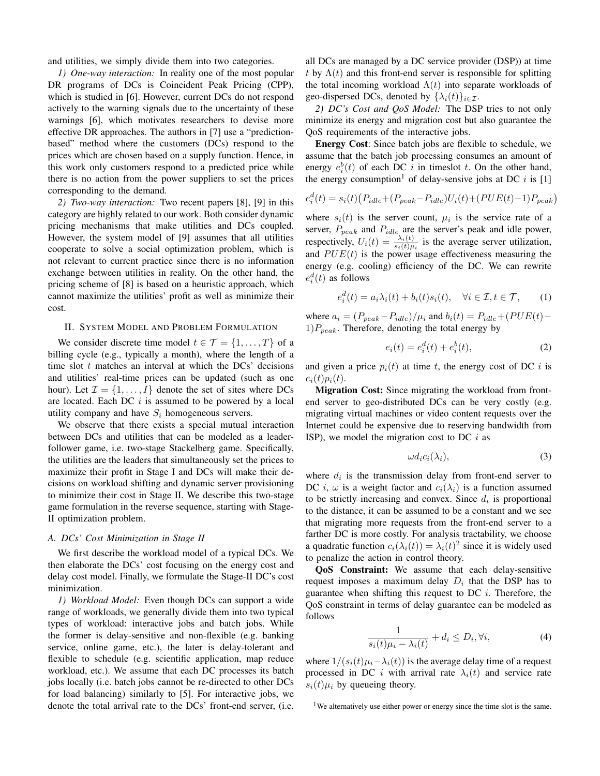and utilities, we simply divide them into two categories.

*1) One-way interaction:* In reality one of the most popular DR programs of DCs is Coincident Peak Pricing (CPP), which is studied in [6]. However, current DCs do not respond actively to the warning signals due to the uncertainty of these warnings [6], which motivates researchers to devise more effective DR approaches. The authors in [7] use a "predictionbased" method where the customers (DCs) respond to the prices which are chosen based on a supply function. Hence, in this work only customers respond to a predicted price while there is no action from the power suppliers to set the prices corresponding to the demand.

*2) Two-way interaction:* Two recent papers [8], [9] in this category are highly related to our work. Both consider dynamic pricing mechanisms that make utilities and DCs coupled. However, the system model of [9] assumes that all utilities cooperate to solve a social optimization problem, which is not relevant to current practice since there is no information exchange between utilities in reality. On the other hand, the pricing scheme of [8] is based on a heuristic approach, which cannot maximize the utilities' profit as well as minimize their cost.

# II. SYSTEM MODEL AND PROBLEM FORMULATION

We consider discrete time model  $t \in \mathcal{T} = \{1, \ldots, T\}$  of a billing cycle (e.g., typically a month), where the length of a time slot  $t$  matches an interval at which the DCs' decisions and utilities' real-time prices can be updated (such as one hour). Let  $\mathcal{I} = \{1, \ldots, I\}$  denote the set of sites where DCs are located. Each DC  $i$  is assumed to be powered by a local utility company and have  $S_i$  homogeneous servers.

We observe that there exists a special mutual interaction between DCs and utilities that can be modeled as a leaderfollower game, i.e. two-stage Stackelberg game. Specifically, the utilities are the leaders that simultaneously set the prices to maximize their profit in Stage I and DCs will make their decisions on workload shifting and dynamic server provisioning to minimize their cost in Stage II. We describe this two-stage game formulation in the reverse sequence, starting with Stage-II optimization problem.

# *A. DCs' Cost Minimization in Stage II*

We first describe the workload model of a typical DCs. We then elaborate the DCs' cost focusing on the energy cost and delay cost model. Finally, we formulate the Stage-II DC's cost minimization.

*1) Workload Model:* Even though DCs can support a wide range of workloads, we generally divide them into two typical types of workload: interactive jobs and batch jobs. While the former is delay-sensitive and non-flexible (e.g. banking service, online game, etc.), the later is delay-tolerant and flexible to schedule (e.g. scientific application, map reduce workload, etc.). We assume that each DC processes its batch jobs locally (i.e. batch jobs cannot be re-directed to other DCs for load balancing) similarly to [5]. For interactive jobs, we denote the total arrival rate to the DCs' front-end server, (i.e. all DCs are managed by a DC service provider (DSP)) at time t by  $\Lambda(t)$  and this front-end server is responsible for splitting the total incoming workload  $\Lambda(t)$  into separate workloads of geo-dispersed DCs, denoted by  $\{\lambda_i(t)\}_{i\in\mathcal{I}}$ .

*2) DC's Cost and QoS Model:* The DSP tries to not only minimize its energy and migration cost but also guarantee the QoS requirements of the interactive jobs.

Energy Cost: Since batch jobs are flexible to schedule, we assume that the batch job processing consumes an amount of energy  $e_i^b(t)$  of each DC i in timeslot t. On the other hand, the energy consumption<sup>1</sup> of delay-sensive jobs at DC i is [1]

$$
e_i^d(t) = s_i(t) (P_{idle} + (P_{peak} - P_{idle})U_i(t) + (PUE(t) - 1)P_{peak})
$$

where  $s_i(t)$  is the server count,  $\mu_i$  is the service rate of a server,  $P_{peak}$  and  $P_{idle}$  are the server's peak and idle power, respectively,  $U_i(t) = \frac{\lambda_i(t)}{s_i(t)\mu_i}$  is the average server utilization, and  $PUE(t)$  is the power usage effectiveness measuring the energy (e.g. cooling) efficiency of the DC. We can rewrite  $e_i^d(t)$  as follows

$$
e_i^d(t) = a_i \lambda_i(t) + b_i(t) s_i(t), \quad \forall i \in \mathcal{I}, t \in \mathcal{T}, \qquad (1)
$$

where  $a_i = (P_{peak}-P_{idle})/\mu_i$  and  $b_i(t) = P_{idle} + (PUE(t) 1)P_{peak}$ . Therefore, denoting the total energy by

$$
e_i(t) = e_i^d(t) + e_i^b(t),
$$
\n(2)

and given a price  $p_i(t)$  at time t, the energy cost of DC i is  $e_i(t)p_i(t)$ .

Migration Cost: Since migrating the workload from frontend server to geo-distributed DCs can be very costly (e.g. migrating virtual machines or video content requests over the Internet could be expensive due to reserving bandwidth from ISP), we model the migration cost to DC  $i$  as

$$
\omega d_i c_i(\lambda_i),\tag{3}
$$

where  $d_i$  is the transmission delay from front-end server to DC *i*,  $\omega$  is a weight factor and  $c_i(\lambda_i)$  is a function assumed to be strictly increasing and convex. Since  $d_i$  is proportional to the distance, it can be assumed to be a constant and we see that migrating more requests from the front-end server to a farther DC is more costly. For analysis tractability, we choose a quadratic function  $c_i(\lambda_i(t)) = \lambda_i(t)^2$  since it is widely used to penalize the action in control theory.

QoS Constraint: We assume that each delay-sensitive request imposes a maximum delay  $D_i$  that the DSP has to guarantee when shifting this request to DC  $i$ . Therefore, the QoS constraint in terms of delay guarantee can be modeled as follows

$$
\frac{1}{s_i(t)\mu_i - \lambda_i(t)} + d_i \le D_i, \forall i,
$$
\n(4)

where  $1/(s_i(t)\mu_i - \lambda_i(t))$  is the average delay time of a request processed in DC i with arrival rate  $\lambda_i(t)$  and service rate  $s_i(t)\mu_i$  by queueing theory.

<sup>&</sup>lt;sup>1</sup>We alternatively use either power or energy since the time slot is the same.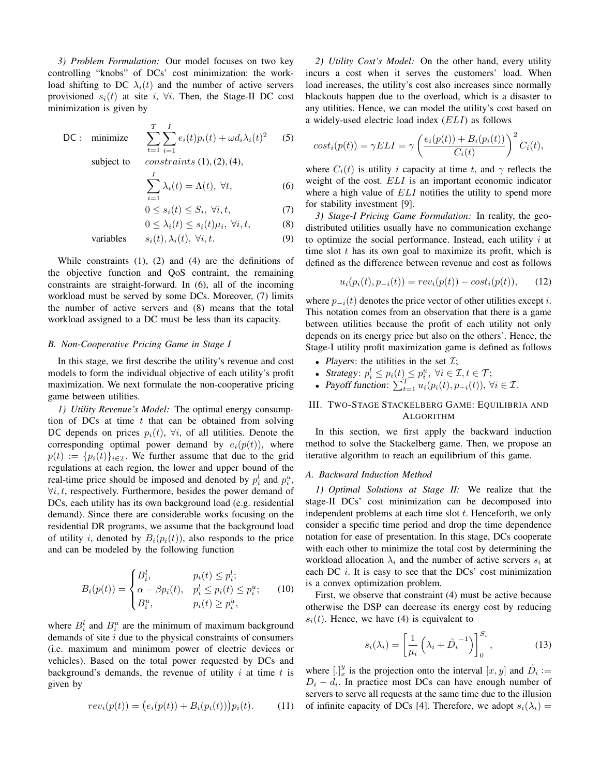*3) Problem Formulation:* Our model focuses on two key controlling "knobs" of DCs' cost minimization: the workload shifting to DC  $\lambda_i(t)$  and the number of active servers provisioned  $s_i(t)$  at site i,  $\forall i$ . Then, the Stage-II DC cost minimization is given by

DC: minimize 
$$
\sum_{t=1}^{T} \sum_{i=1}^{I} e_i(t) p_i(t) + \omega d_i \lambda_i(t)^2
$$
 (5)

subject to *constraints*  $(1)$ ,  $(2)$ ,  $(4)$ ,

$$
\sum_{i=1}^{I} \lambda_i(t) = \Lambda(t), \ \forall t,
$$
\n(6)

$$
0 \le s_i(t) \le S_i, \ \forall i, t,
$$
\n<sup>(7)</sup>

$$
0 \leq \lambda_i(t) \leq s_i(t)\mu_i, \ \forall i, t,
$$
 (8)

variables 
$$
s_i(t), \lambda_i(t), \forall i, t.
$$
 (9)

While constraints (1), (2) and (4) are the definitions of the objective function and QoS contraint, the remaining constraints are straight-forward. In (6), all of the incoming workload must be served by some DCs. Moreover, (7) limits the number of active servers and (8) means that the total workload assigned to a DC must be less than its capacity.

# *B. Non-Cooperative Pricing Game in Stage I*

In this stage, we first describe the utility's revenue and cost models to form the individual objective of each utility's profit maximization. We next formulate the non-cooperative pricing game between utilities.

*1) Utility Revenue's Model:* The optimal energy consumption of DCs at time  $t$  that can be obtained from solving DC depends on prices  $p_i(t)$ ,  $\forall i$ , of all utilities. Denote the corresponding optimal power demand by  $e_i(p(t))$ , where  $p(t) := \{p_i(t)\}_{i \in \mathcal{I}}$ . We further assume that due to the grid regulations at each region, the lower and upper bound of the real-time price should be imposed and denoted by  $p_i^l$  and  $p_i^u$ ,  $\forall i, t$ , respectively. Furthermore, besides the power demand of DCs, each utility has its own background load (e.g. residential demand). Since there are considerable works focusing on the residential DR programs, we assume that the background load of utility i, denoted by  $B_i(p_i(t))$ , also responds to the price and can be modeled by the following function

$$
B_i(p(t)) = \begin{cases} B_i^l, & p_i(t) \le p_i^l; \\ \alpha - \beta p_i(t), & p_i^l \le p_i(t) \le p_i^u; \\ B_i^u, & p_i(t) \ge p_i^u, \end{cases}
$$
 (10)

where  $B_i^l$  and  $B_i^u$  are the minimum of maximum background demands of site  $i$  due to the physical constraints of consumers (i.e. maximum and minimum power of electric devices or vehicles). Based on the total power requested by DCs and background's demands, the revenue of utility  $i$  at time  $t$  is given by

$$
rev_i(p(t)) = (e_i(p(t)) + B_i(p_i(t)))p_i(t).
$$
 (11)

*2) Utility Cost's Model:* On the other hand, every utility incurs a cost when it serves the customers' load. When load increases, the utility's cost also increases since normally blackouts happen due to the overload, which is a disaster to any utilities. Hence, we can model the utility's cost based on a widely-used electric load index (ELI) as follows

$$
cost_i(p(t)) = \gamma ELI = \gamma \left(\frac{e_i(p(t)) + B_i(p_i(t))}{C_i(t)}\right)^2 C_i(t),
$$

where  $C_i(t)$  is utility i capacity at time t, and  $\gamma$  reflects the weight of the cost. ELI is an important economic indicator where a high value of  $ELI$  notifies the utility to spend more for stability investment [9].

*3) Stage-I Pricing Game Formulation:* In reality, the geodistributed utilities usually have no communication exchange to optimize the social performance. Instead, each utility  $i$  at time slot  $t$  has its own goal to maximize its profit, which is defined as the difference between revenue and cost as follows

$$
u_i(p_i(t), p_{-i}(t)) = rev_i(p(t)) - cost_i(p(t)), \qquad (12)
$$

where  $p_{-i}(t)$  denotes the price vector of other utilities except *i*. This notation comes from an observation that there is a game between utilities because the profit of each utility not only depends on its energy price but also on the others'. Hence, the Stage-I utility profit maximization game is defined as follows

- Players: the utilities in the set  $\mathcal{I}$ ;
- Strategy:  $p_i^l \leq p_i(t) \leq p_i^u$ ,  $\forall i \in \mathcal{I}, t \in \mathcal{T}$ ;
- Payoff function:  $\sum_{t=1}^{T} u_i(p_i(t), p_{-i}(t))$ ,  $\forall i \in \mathcal{I}$ .

# III. TWO-STAGE STACKELBERG GAME: EQUILIBRIA AND ALGORITHM

In this section, we first apply the backward induction method to solve the Stackelberg game. Then, we propose an iterative algorithm to reach an equilibrium of this game.

#### *A. Backward Induction Method*

*1) Optimal Solutions at Stage II:* We realize that the stage-II DCs' cost minimization can be decomposed into independent problems at each time slot  $t$ . Henceforth, we only consider a specific time period and drop the time dependence notation for ease of presentation. In this stage, DCs cooperate with each other to minimize the total cost by determining the workload allocation  $\lambda_i$  and the number of active servers  $s_i$  at each DC  $i$ . It is easy to see that the DCs' cost minimization is a convex optimization problem.

First, we observe that constraint (4) must be active because otherwise the DSP can decrease its energy cost by reducing  $s_i(t)$ . Hence, we have (4) is equivalent to

$$
s_i(\lambda_i) = \left[\frac{1}{\mu_i} \left(\lambda_i + \tilde{D_i}^{-1}\right)\right]_0^{S_i},\tag{13}
$$

where  $[.]_x^y$  is the projection onto the interval  $[x, y]$  and  $\tilde{D}_i :=$  $D_i - d_i$ . In practice most DCs can have enough number of servers to serve all requests at the same time due to the illusion of infinite capacity of DCs [4]. Therefore, we adopt  $s_i(\lambda_i) =$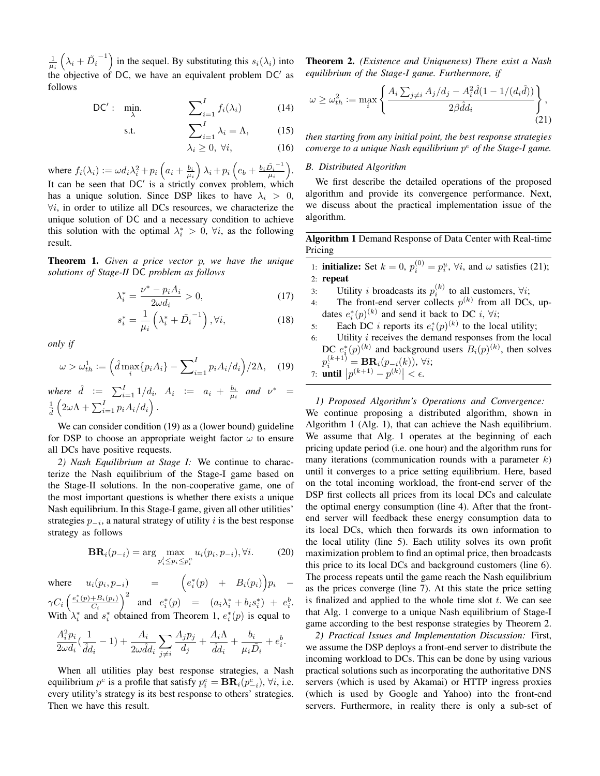$\frac{1}{\mu_i}\left(\lambda_i+\tilde{D_i}\right)$  $\binom{-1}{1}$  in the sequel. By substituting this  $s_i(\lambda_i)$  into the objective of DC, we have an equivalent problem  $DC'$  as follows

DC': 
$$
\min_{\lambda} \qquad \qquad \sum_{i=1}^{I} f_i(\lambda_i) \qquad (14)
$$

s.t. 
$$
\sum_{i=1}^{I} \lambda_i = \Lambda, \qquad (15)
$$

$$
\lambda_i \ge 0, \ \forall i,\tag{16}
$$

where  $f_i(\lambda_i) := \omega d_i \lambda_i^2 + p_i \left( a_i + \frac{b_i}{\mu_i} \right) \lambda_i + p_i \left( e_b + \frac{b_i \tilde{D_i}^{-1}}{\mu_i} \right)$  $\frac{{\tilde D_i}^{-1}}{\mu_i}\Big).$ It can be seen that  $DC'$  is a strictly convex problem, which has a unique solution. Since DSP likes to have  $\lambda_i > 0$ ,  $\forall i$ , in order to utilize all DCs resources, we characterize the unique solution of DC and a necessary condition to achieve this solution with the optimal  $\lambda_i^* > 0$ ,  $\forall i$ , as the following result.

Theorem 1. *Given a price vector* p*, we have the unique solutions of Stage-II* DC *problem as follows*

$$
\lambda_i^* = \frac{\nu^* - p_i A_i}{2\omega d_i} > 0,\tag{17}
$$

$$
s_i^* = \frac{1}{\mu_i} \left( \lambda_i^* + \tilde{D_i}^{-1} \right), \forall i,
$$
 (18)

*only if*

$$
\omega > \omega_{th}^1 := \left(\hat{d} \max_i \{p_i A_i\} - \sum_{i=1}^I p_i A_i / d_i\right) / 2\Lambda,\tag{19}
$$

*where*  $\hat{d} := \sum_{i=1}^{I} 1/d_i$ ,  $A_i := a_i + \frac{b_i}{\mu_i}$  and  $\nu^* =$  $\frac{1}{\hat{d}}$  $\left(2\omega\Lambda + \sum_{i=1}^{I} p_i A_i/d_i\right).$ 

We can consider condition (19) as a (lower bound) guideline for DSP to choose an appropriate weight factor  $\omega$  to ensure all DCs have positive requests.

*2) Nash Equilibrium at Stage I:* We continue to characterize the Nash equilibrium of the Stage-I game based on the Stage-II solutions. In the non-cooperative game, one of the most important questions is whether there exists a unique Nash equilibrium. In this Stage-I game, given all other utilities' strategies  $p_{-i}$ , a natural strategy of utility i is the best response strategy as follows

$$
\mathbf{BR}_{i}(p_{-i}) = \arg \max_{p_i^l \le p_i \le p_i^u} u_i(p_i, p_{-i}), \forall i. \tag{20}
$$

where  $u_i(p_i, p_{-i})$  =  $\left(e_i^*(p) + B_i(p_i)\right)p_i$  –  $\gamma C_i\left(\frac{e_i^*(p)+B_i(p_i)}{C_i}\right)$  $\left(\frac{e^{i\theta}h_{i}(p_{i})}{C_{i}}\right)^{2}$  and  $e_{i}^{*}(p)$  =  $(a_{i}\lambda_{i}^{*} + b_{i}s_{i}^{*}) + e_{i}^{b}$ . With  $\lambda_i^*$  and  $s_i^*$  obtained from Theorem 1,  $e_i^*(p)$  is equal to

$$
\frac{A_i^2 p_i}{2\omega d_i}(\frac{1}{\hat{d}d_i} - 1) + \frac{A_i}{2\omega \hat{d}d_i} \sum_{j \neq i} \frac{A_j p_j}{d_j} + \frac{A_i \Lambda}{\hat{d}d_i} + \frac{b_i}{\mu_i \tilde{D}_i} + e_i^b.
$$

When all utilities play best response strategies, a Nash equilibrium  $p^e$  is a profile that satisfy  $p_i^e = \mathbf{BR}_i(p_{-i}^e)$ ,  $\forall i$ , i.e. every utility's strategy is its best response to others' strategies. Then we have this result.

Theorem 2. *(Existence and Uniqueness) There exist a Nash equilibrium of the Stage-I game. Furthermore, if*

$$
\omega \ge \omega_{th}^2 := \max_i \left\{ \frac{A_i \sum_{j \ne i} A_j/d_j - A_i^2 \hat{d}(1 - 1/(d_i \hat{d}))}{2\beta \hat{d}d_i} \right\},\tag{21}
$$

*then starting from any initial point, the best response strategies converge to a unique Nash equilibrium* p <sup>e</sup> *of the Stage-I game.*

# *B. Distributed Algorithm*

We first describe the detailed operations of the proposed algorithm and provide its convergence performance. Next, we discuss about the practical implementation issue of the algorithm.

Algorithm 1 Demand Response of Data Center with Real-time Pricing

- 1: **initialize:** Set  $k = 0$ ,  $p_i^{(0)} = p_i^u$ ,  $\forall i$ , and  $\omega$  satisfies (21); 2: repeat
- 3: Utility *i* broadcasts its  $p_i^{(k)}$  to all customers,  $\forall i$ ;
- 4: The front-end server collects  $p^{(k)}$  from all DCs, updates  $e_i^*(p)^{(k)}$  and send it back to DC *i*,  $\forall i$ ;
- 5: Each DC *i* reports its  $e_i^*(p)^{(k)}$  to the local utility;
- 6: Utility  $i$  receives the demand responses from the local DC  $e_i^*(p)^{(k)}$  and background users  $B_i(p)^{(k)}$ , then solves  $p_i^{(k+1)} = \mathbf{BR}_i(p_{-i}(k)), \ \forall i;$ 7: **until**  $|p^{(k+1)} - p^{(k)}| < \epsilon$ .

*1) Proposed Algorithm's Operations and Convergence:* We continue proposing a distributed algorithm, shown in Algorithm 1 (Alg. 1), that can achieve the Nash equilibrium. We assume that Alg. 1 operates at the beginning of each pricing update period (i.e. one hour) and the algorithm runs for many iterations (communication rounds with a parameter  $k$ ) until it converges to a price setting equilibrium. Here, based on the total incoming workload, the front-end server of the DSP first collects all prices from its local DCs and calculate the optimal energy consumption (line 4). After that the frontend server will feedback these energy consumption data to its local DCs, which then forwards its own information to the local utility (line 5). Each utility solves its own profit maximization problem to find an optimal price, then broadcasts this price to its local DCs and background customers (line 6). The process repeats until the game reach the Nash equilibrium as the prices converge (line 7). At this state the price setting is finalized and applied to the whole time slot  $t$ . We can see that Alg. 1 converge to a unique Nash equilibrium of Stage-I game according to the best response strategies by Theorem 2.

*2) Practical Issues and Implementation Discussion:* First, we assume the DSP deploys a front-end server to distribute the incoming workload to DCs. This can be done by using various practical solutions such as incorporating the authoritative DNS servers (which is used by Akamai) or HTTP ingress proxies (which is used by Google and Yahoo) into the front-end servers. Furthermore, in reality there is only a sub-set of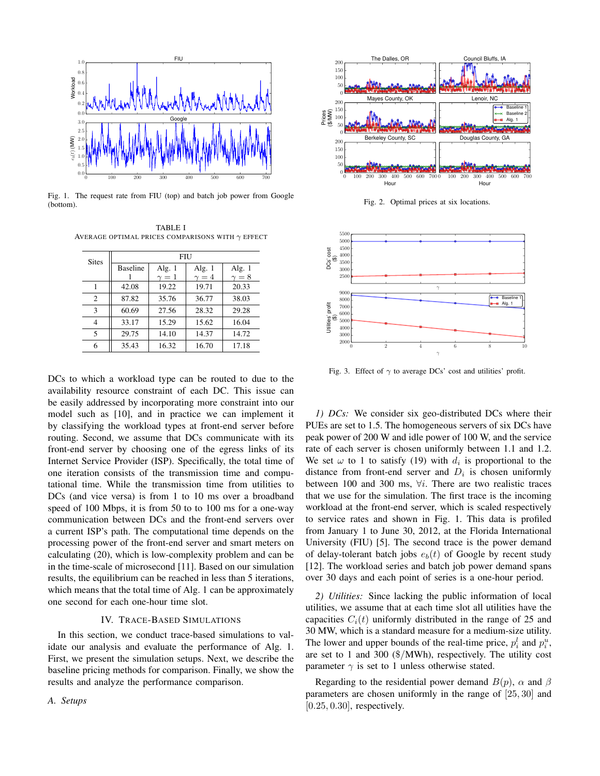

Fig. 1. The request rate from FIU (top) and batch job power from Google (bottom).

TABLE I AVERAGE OPTIMAL PRICES COMPARISONS WITH  $\gamma$  EFFECT

| <b>Sites</b>   | <b>FIU</b>      |            |              |              |
|----------------|-----------------|------------|--------------|--------------|
|                | <b>Baseline</b> | Alg. $1$   | Alg. $1$     | Alg. $1$     |
|                |                 | $\gamma=1$ | $\gamma = 4$ | $\gamma = 8$ |
|                | 42.08           | 19.22      | 19.71        | 20.33        |
| $\overline{c}$ | 87.82           | 35.76      | 36.77        | 38.03        |
| 3              | 60.69           | 27.56      | 28.32        | 29.28        |
| 4              | 33.17           | 15.29      | 15.62        | 16.04        |
| 5              | 29.75           | 14.10      | 14.37        | 14.72        |
| 6              | 35.43           | 16.32      | 16.70        | 17.18        |

DCs to which a workload type can be routed to due to the availability resource constraint of each DC. This issue can be easily addressed by incorporating more constraint into our model such as [10], and in practice we can implement it by classifying the workload types at front-end server before routing. Second, we assume that DCs communicate with its front-end server by choosing one of the egress links of its Internet Service Provider (ISP). Specifically, the total time of one iteration consists of the transmission time and computational time. While the transmission time from utilities to DCs (and vice versa) is from 1 to 10 ms over a broadband speed of 100 Mbps, it is from 50 to to 100 ms for a one-way communication between DCs and the front-end servers over a current ISP's path. The computational time depends on the processing power of the front-end server and smart meters on calculating (20), which is low-complexity problem and can be in the time-scale of microsecond [11]. Based on our simulation results, the equilibrium can be reached in less than 5 iterations, which means that the total time of Alg. 1 can be approximately one second for each one-hour time slot.

#### IV. TRACE-BASED SIMULATIONS

In this section, we conduct trace-based simulations to validate our analysis and evaluate the performance of Alg. 1. First, we present the simulation setups. Next, we describe the baseline pricing methods for comparison. Finally, we show the results and analyze the performance comparison.

*A. Setups*



Fig. 2. Optimal prices at six locations.



Fig. 3. Effect of  $\gamma$  to average DCs' cost and utilities' profit.

*1) DCs:* We consider six geo-distributed DCs where their PUEs are set to 1.5. The homogeneous servers of six DCs have peak power of 200 W and idle power of 100 W, and the service rate of each server is chosen uniformly between 1.1 and 1.2. We set  $\omega$  to 1 to satisfy (19) with  $d_i$  is proportional to the distance from front-end server and  $D_i$  is chosen uniformly between 100 and 300 ms,  $\forall i$ . There are two realistic traces that we use for the simulation. The first trace is the incoming workload at the front-end server, which is scaled respectively to service rates and shown in Fig. 1. This data is profiled from January 1 to June 30, 2012, at the Florida International University (FIU) [5]. The second trace is the power demand of delay-tolerant batch jobs  $e_b(t)$  of Google by recent study [12]. The workload series and batch job power demand spans over 30 days and each point of series is a one-hour period.

*2) Utilities:* Since lacking the public information of local utilities, we assume that at each time slot all utilities have the capacities  $C_i(t)$  uniformly distributed in the range of 25 and 30 MW, which is a standard measure for a medium-size utility. The lower and upper bounds of the real-time price,  $p_i^l$  and  $p_i^u$ , are set to 1 and 300 (\$/MWh), respectively. The utility cost parameter  $\gamma$  is set to 1 unless otherwise stated.

Regarding to the residential power demand  $B(p)$ ,  $\alpha$  and  $\beta$ parameters are chosen uniformly in the range of [25, 30] and  $[0.25, 0.30]$ , respectively.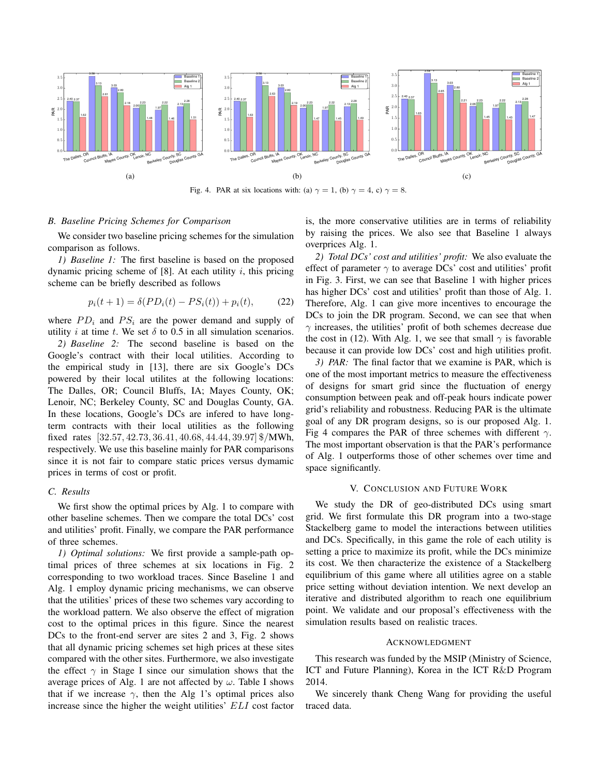

# *B. Baseline Pricing Schemes for Comparison*

We consider two baseline pricing schemes for the simulation comparison as follows.

*1) Baseline 1:* The first baseline is based on the proposed dynamic pricing scheme of  $[8]$ . At each utility i, this pricing scheme can be briefly described as follows

$$
p_i(t+1) = \delta(PD_i(t) - PS_i(t)) + p_i(t), \tag{22}
$$

where  $PD_i$  and  $PS_i$  are the power demand and supply of utility *i* at time *t*. We set  $\delta$  to 0.5 in all simulation scenarios.

*2) Baseline 2:* The second baseline is based on the Google's contract with their local utilities. According to the empirical study in [13], there are six Google's DCs powered by their local utilites at the following locations: The Dalles, OR; Council Bluffs, IA; Mayes County, OK; Lenoir, NC; Berkeley County, SC and Douglas County, GA. In these locations, Google's DCs are infered to have longterm contracts with their local utilities as the following fixed rates [32.57, 42.73, 36.41, 40.68, 44.44, 39.97] \$/MWh, respectively. We use this baseline mainly for PAR comparisons since it is not fair to compare static prices versus dymamic prices in terms of cost or profit.

# *C. Results*

We first show the optimal prices by Alg. 1 to compare with other baseline schemes. Then we compare the total DCs' cost and utilities' profit. Finally, we compare the PAR performance of three schemes.

*1) Optimal solutions:* We first provide a sample-path optimal prices of three schemes at six locations in Fig. 2 corresponding to two workload traces. Since Baseline 1 and Alg. 1 employ dynamic pricing mechanisms, we can observe that the utilities' prices of these two schemes vary according to the workload pattern. We also observe the effect of migration cost to the optimal prices in this figure. Since the nearest DCs to the front-end server are sites 2 and 3, Fig. 2 shows that all dynamic pricing schemes set high prices at these sites compared with the other sites. Furthermore, we also investigate the effect  $\gamma$  in Stage I since our simulation shows that the average prices of Alg. 1 are not affected by  $\omega$ . Table I shows that if we increase  $\gamma$ , then the Alg 1's optimal prices also increase since the higher the weight utilities' ELI cost factor is, the more conservative utilities are in terms of reliability by raising the prices. We also see that Baseline 1 always overprices Alg. 1.

*2) Total DCs' cost and utilities' profit:* We also evaluate the effect of parameter  $\gamma$  to average DCs' cost and utilities' profit in Fig. 3. First, we can see that Baseline 1 with higher prices has higher DCs' cost and utilities' profit than those of Alg. 1. Therefore, Alg. 1 can give more incentives to encourage the DCs to join the DR program. Second, we can see that when  $\gamma$  increases, the utilities' profit of both schemes decrease due the cost in (12). With Alg. 1, we see that small  $\gamma$  is favorable because it can provide low DCs' cost and high utilities profit.

*3) PAR:* The final factor that we examine is PAR, which is one of the most important metrics to measure the effectiveness of designs for smart grid since the fluctuation of energy consumption between peak and off-peak hours indicate power grid's reliability and robustness. Reducing PAR is the ultimate goal of any DR program designs, so is our proposed Alg. 1. Fig 4 compares the PAR of three schemes with different  $\gamma$ . The most important observation is that the PAR's performance of Alg. 1 outperforms those of other schemes over time and space significantly.

# V. CONCLUSION AND FUTURE WORK

We study the DR of geo-distributed DCs using smart grid. We first formulate this DR program into a two-stage Stackelberg game to model the interactions between utilities and DCs. Specifically, in this game the role of each utility is setting a price to maximize its profit, while the DCs minimize its cost. We then characterize the existence of a Stackelberg equilibrium of this game where all utilities agree on a stable price setting without deviation intention. We next develop an iterative and distributed algorithm to reach one equilibrium point. We validate and our proposal's effectiveness with the simulation results based on realistic traces.

# **ACKNOWLEDGMENT**

This research was funded by the MSIP (Ministry of Science, ICT and Future Planning), Korea in the ICT R&D Program 2014.

We sincerely thank Cheng Wang for providing the useful traced data.